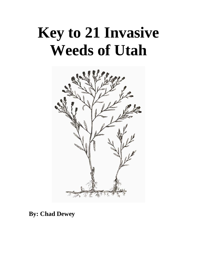## **Key to 21 Invasive Weeds of Utah**



### **By: Chad Dewey**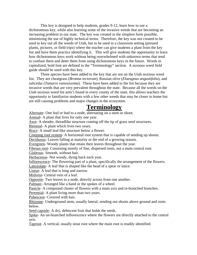This key is designed to help students, grades 9-12, learn how to use a dichotomous key, while also learning some of the invasive weeds that are becoming an increasing problem in our state. The key was created in the simplest form possible, minimizing the use of highly technical terms. Therefore, the key was not created to be used to key out all the weeds of Utah, but to be used in a classroom setting (pressed plants, pictures, or field trips) where the teacher can give students a plant from the key list and have them practice identifying it. This will give students the opportunity to learn how dichotomous keys work without being overwhelmed with unknown terms that tend to confuse them and deter them from using dichotomous keys in the future. Words in capitalized, bold font are defined in the "Terminology" section. A noxious weed field guide should be used with this key.

Three species have been added to the key that are not on the Utah noxious weed list. They are cheatgrass (*Bromus tectorum*), Russian olive (*Elaeagnus angustifolia*), and saltcedar (*Tamarix ramosissima*). These have been added to the list because they are invasive weeds that are very prevalent throughout the state. Because all the weeds on the Utah noxious weed list aren't found in every county of the state, this allows teachers the opportunity to familiarize students with a few other weeds that may be closer to home but are still causing problems and major changes in the ecosystem.

### **Terminology**

Alternate- One leaf or bud to a node, alternating on a stem or shoot. Annual- A plant that lives for only one year. Awn- A slender, threadlike structure coming off the tip of grass seed structures. Biennial- A plant which lives two years. Bract- A small leaf-like structure below a flower. Creeping root system- A horizontal root system that is capable of sending up shoots. Deciduous- Leaves falling at maturity or the end of a growing season. Evergreen- Woody plants that retain their leaves throughout the year. Fibrous root- Consisting mostly of fine, dispersed roots, not a main central root. Glabrous- Smooth, without hair. Herbaceous- Not woody, dying back each year. Inflorescence- The flowering part of a plant, specifically the arrangement of the flowers. Lanceolate- A leaf that is shaped like the head of a spear or lance. Linear- A leaf that is long and narrow. Midvein- Central vein of a leaf. Opposite- Two leaves to a node, directly across from one another. Palmate- Arranged like a hand or the spokes of a wheel. Panicle- A compound cluster of flowers with a main axis and re-branched branches. Perennial- A plant living more than two years. Pubescent- Covered with hair. Rhizome- Underground stem, usually lateral, sending out shoots above ground and roots below.

Seed capsule- A dry, dehiscent fruit that holds the seeds.

Spike- An un-branched inflorescence where the flowers are directly attached to the central axis.

Taproot- A vertical, usually stout root where the main root is readily identified.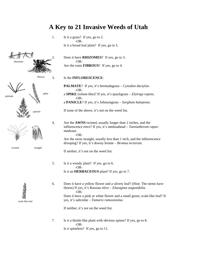

# scale-like leaf

### **A Key to 21 Invasive Weeds of Utah**

1. Is it a grass? If yes, go to 2. -OR- Is it a broad leaf plant? If yes, go to 5.

2. Does it have **RHIZOMES**? If yes, go to 3. -OR-Are the roots **FIBROUS**? If yes, go to 4.

fibrous 3. Is the **INFLORESCENCE**:

**PALMATE**? If yes, it's bermudagrass – *Cynodon dactylon.*  -ORa **SPIKE** (wheat-like)? If yes, it's quackgrass – *Elytriga repens.* -ORa **PANICLE**? If yes, it's Johnsongrass – *Sorghum halepense.* 

panicle **If none of the above, it's not on the weed list.** 

4. Are the **AWNS** twisted, usually longer than 2 inches, and the inflorescence erect? If yes, it's medusahead – *Taeniatherum caputmadusae.* -OR-

Are the awns straight, usually less than 1 inch, and the inflorescence drooping? If yes, it's downy brome – *Bromus tectorum.* 

If neither, it's not on the weed list.

- 5. Is it a woody plant? If yes, go to 6. -OR- Is it an **HERBACEOUS** plant? If yes, go to 7.
- 6. Does it have a yellow flower and a silvery leaf? (Hint: The stems have thorns) If yes, it's Russian olive – *Elaeagnus angustifolia.* -OR-Does it have a pink or white flower and a small green, scale-like leaf? If yes, it's saltcedar – *Tamarix ramosissima.*

If neither, it's not on the weed list.

7. Is it a thistle-like plant with obvious spines? If yes, go to 8. -OR-Is it spineless? If yes, go to 11.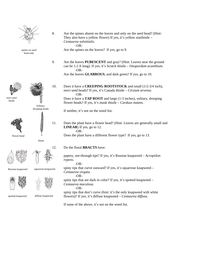

head only











linear

Solitary, drooping heads

Russian knapweed squarrose knapweed







spotted knapweed diffuse knapweed

8. Are the spines absent on the leaves and only on the seed head? (Hint: They also have a yellow flower) If yes, it's yellow starthistle – *Centaurea solstitialis.*  $-OR$ spines on seed Are the spines on the leaves? If yes, go to 9.

> 9. Are the leaves **PUBESCENT** and gray? (Hint: Leaves near the ground can be 1-2 ft long). If yes, it's Scotch thistle – *Onopordum acanthium.*  -OR-

Are the leaves **GLABROUS**, and dark green? If yes, go to 10.

10. Does it have a **CREEPING ROOTSTOCK** and small (1/2-3/4 inch), erect seed heads? If yes, it's Canada thistle – *Cirsium arvense.*  -OR-Does it have a **TAP ROOT** and large (1-3 inches), solitary, drooping flower heads? If yes, it's musk thistle – *Carduus nutans.*

If neither, it's not on the weed list.

11. Does the plant have a flower head? (Hint: Leaves are generally small and **LINEAR**) If yes, go to 12. -OR-

flower head Does the plant have a different flower type? If yes, go to 13.

12. Do the floral **BRACTS** have:

papery, see-through tips? If yes, it's Russian knapweed – *Acroptilon repens.* 

-OR-

spiny tips that curve outward? If yes, it's squarrose knapweed – *Centaurea virgata.* 

-OR-

spiny tips that are dark in color? If yes, it's spotted knapweed – *Centaurea maculosa.*  -OR-

spiny tips that don't curve (hint: it's the only knapweed with white flowers)? If yes, it's diffuse knapweed – *Centaurea diffusa*.

If none of the above, it's not on the weed list.